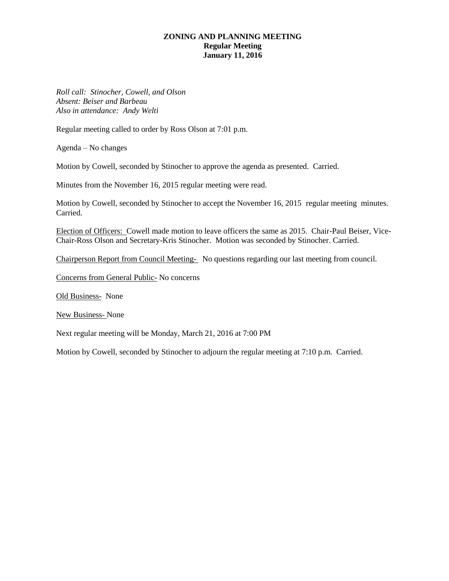### **ZONING AND PLANNING MEETING Regular Meeting January 11, 2016**

*Roll call: Stinocher, Cowell, and Olson Absent: Beiser and Barbeau Also in attendance: Andy Welti*

Regular meeting called to order by Ross Olson at 7:01 p.m.

Agenda – No changes

Motion by Cowell, seconded by Stinocher to approve the agenda as presented. Carried.

Minutes from the November 16, 2015 regular meeting were read.

Motion by Cowell, seconded by Stinocher to accept the November 16, 2015 regular meeting minutes. Carried.

Election of Officers: Cowell made motion to leave officers the same as 2015. Chair-Paul Beiser, Vice-Chair-Ross Olson and Secretary-Kris Stinocher. Motion was seconded by Stinocher. Carried.

Chairperson Report from Council Meeting- No questions regarding our last meeting from council.

Concerns from General Public- No concerns

Old Business- None

New Business- None

Next regular meeting will be Monday, March 21, 2016 at 7:00 PM

Motion by Cowell, seconded by Stinocher to adjourn the regular meeting at 7:10 p.m. Carried.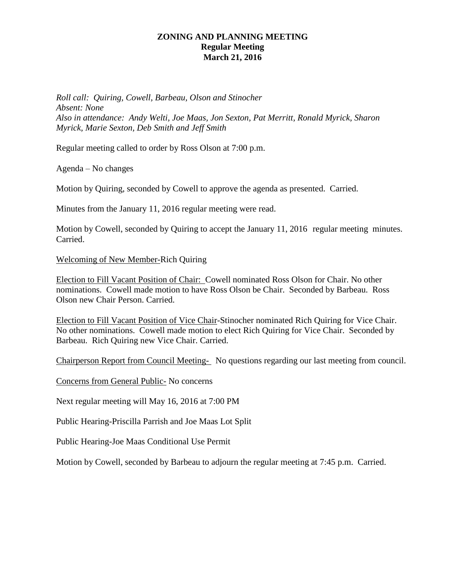# **ZONING AND PLANNING MEETING Regular Meeting March 21, 2016**

*Roll call: Quiring, Cowell, Barbeau, Olson and Stinocher Absent: None Also in attendance: Andy Welti, Joe Maas, Jon Sexton, Pat Merritt, Ronald Myrick, Sharon Myrick, Marie Sexton, Deb Smith and Jeff Smith*

Regular meeting called to order by Ross Olson at 7:00 p.m.

Agenda – No changes

Motion by Quiring, seconded by Cowell to approve the agenda as presented. Carried.

Minutes from the January 11, 2016 regular meeting were read.

Motion by Cowell, seconded by Quiring to accept the January 11, 2016 regular meeting minutes. Carried.

Welcoming of New Member-Rich Quiring

Election to Fill Vacant Position of Chair: Cowell nominated Ross Olson for Chair. No other nominations. Cowell made motion to have Ross Olson be Chair. Seconded by Barbeau. Ross Olson new Chair Person. Carried.

Election to Fill Vacant Position of Vice Chair-Stinocher nominated Rich Quiring for Vice Chair. No other nominations. Cowell made motion to elect Rich Quiring for Vice Chair. Seconded by Barbeau. Rich Quiring new Vice Chair. Carried.

Chairperson Report from Council Meeting- No questions regarding our last meeting from council.

Concerns from General Public- No concerns

Next regular meeting will May 16, 2016 at 7:00 PM

Public Hearing-Priscilla Parrish and Joe Maas Lot Split

Public Hearing-Joe Maas Conditional Use Permit

Motion by Cowell, seconded by Barbeau to adjourn the regular meeting at 7:45 p.m. Carried.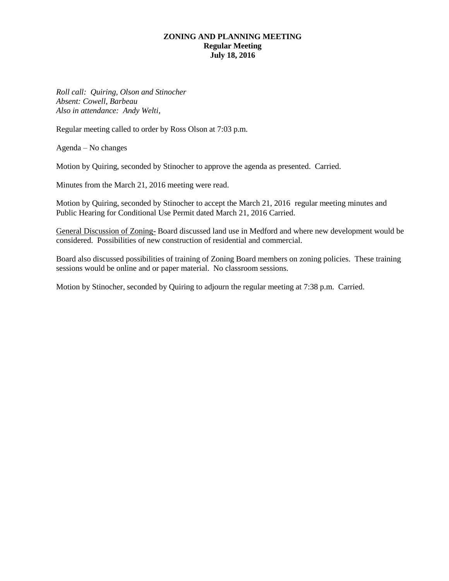#### **ZONING AND PLANNING MEETING Regular Meeting July 18, 2016**

*Roll call: Quiring, Olson and Stinocher Absent: Cowell, Barbeau Also in attendance: Andy Welti,* 

Regular meeting called to order by Ross Olson at 7:03 p.m.

Agenda – No changes

Motion by Quiring, seconded by Stinocher to approve the agenda as presented. Carried.

Minutes from the March 21, 2016 meeting were read.

Motion by Quiring, seconded by Stinocher to accept the March 21, 2016 regular meeting minutes and Public Hearing for Conditional Use Permit dated March 21, 2016 Carried.

General Discussion of Zoning- Board discussed land use in Medford and where new development would be considered. Possibilities of new construction of residential and commercial.

Board also discussed possibilities of training of Zoning Board members on zoning policies. These training sessions would be online and or paper material. No classroom sessions.

Motion by Stinocher, seconded by Quiring to adjourn the regular meeting at 7:38 p.m. Carried.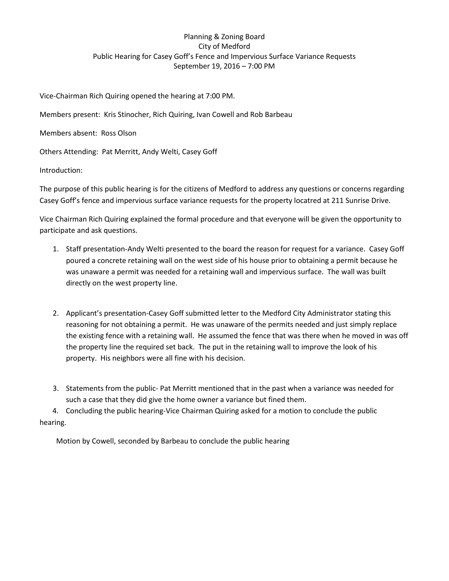# Planning & Zoning Board City of Medford Public Hearing for Casey Goff's Fence and Impervious Surface Variance Requests September 19, 2016 – 7:00 PM

Vice-Chairman Rich Quiring opened the hearing at 7:00 PM.

Members present: Kris Stinocher, Rich Quiring, Ivan Cowell and Rob Barbeau

Members absent: Ross Olson

Others Attending: Pat Merritt, Andy Welti, Casey Goff

Introduction:

The purpose of this public hearing is for the citizens of Medford to address any questions or concerns regarding Casey Goff's fence and impervious surface variance requests for the property locatred at 211 Sunrise Drive.

Vice Chairman Rich Quiring explained the formal procedure and that everyone will be given the opportunity to participate and ask questions.

- 1. Staff presentation-Andy Welti presented to the board the reason for request for a variance. Casey Goff poured a concrete retaining wall on the west side of his house prior to obtaining a permit because he was unaware a permit was needed for a retaining wall and impervious surface. The wall was built directly on the west property line.
- 2. Applicant's presentation-Casey Goff submitted letter to the Medford City Administrator stating this reasoning for not obtaining a permit. He was unaware of the permits needed and just simply replace the existing fence with a retaining wall. He assumed the fence that was there when he moved in was off the property line the required set back. The put in the retaining wall to improve the look of his property. His neighbors were all fine with his decision.
- 3. Statements from the public- Pat Merritt mentioned that in the past when a variance was needed for such a case that they did give the home owner a variance but fined them.

 4. Concluding the public hearing-Vice Chairman Quiring asked for a motion to conclude the public hearing.

Motion by Cowell, seconded by Barbeau to conclude the public hearing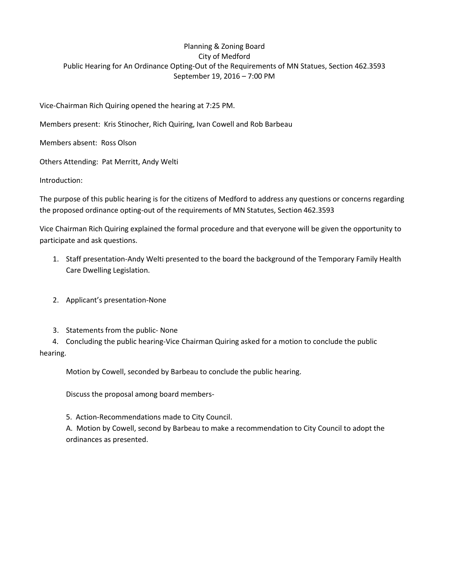# Planning & Zoning Board City of Medford Public Hearing for An Ordinance Opting-Out of the Requirements of MN Statues, Section 462.3593 September 19, 2016 – 7:00 PM

Vice-Chairman Rich Quiring opened the hearing at 7:25 PM.

Members present: Kris Stinocher, Rich Quiring, Ivan Cowell and Rob Barbeau

Members absent: Ross Olson

Others Attending: Pat Merritt, Andy Welti

Introduction:

The purpose of this public hearing is for the citizens of Medford to address any questions or concerns regarding the proposed ordinance opting-out of the requirements of MN Statutes, Section 462.3593

Vice Chairman Rich Quiring explained the formal procedure and that everyone will be given the opportunity to participate and ask questions.

- 1. Staff presentation-Andy Welti presented to the board the background of the Temporary Family Health Care Dwelling Legislation.
- 2. Applicant's presentation-None
- 3. Statements from the public- None

 4. Concluding the public hearing-Vice Chairman Quiring asked for a motion to conclude the public hearing.

Motion by Cowell, seconded by Barbeau to conclude the public hearing.

Discuss the proposal among board members-

5. Action-Recommendations made to City Council.

A. Motion by Cowell, second by Barbeau to make a recommendation to City Council to adopt the ordinances as presented.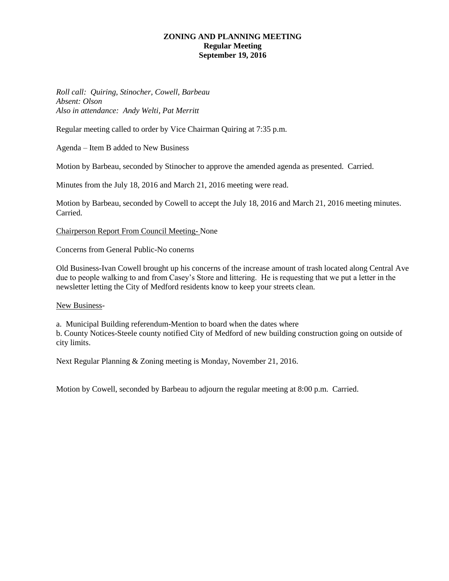#### **ZONING AND PLANNING MEETING Regular Meeting September 19, 2016**

*Roll call: Quiring, Stinocher, Cowell, Barbeau Absent: Olson Also in attendance: Andy Welti, Pat Merritt*

Regular meeting called to order by Vice Chairman Quiring at 7:35 p.m.

Agenda – Item B added to New Business

Motion by Barbeau, seconded by Stinocher to approve the amended agenda as presented. Carried.

Minutes from the July 18, 2016 and March 21, 2016 meeting were read.

Motion by Barbeau, seconded by Cowell to accept the July 18, 2016 and March 21, 2016 meeting minutes. Carried.

Chairperson Report From Council Meeting- None

Concerns from General Public-No conerns

Old Business-Ivan Cowell brought up his concerns of the increase amount of trash located along Central Ave due to people walking to and from Casey's Store and littering. He is requesting that we put a letter in the newsletter letting the City of Medford residents know to keep your streets clean.

New Business-

a. Municipal Building referendum-Mention to board when the dates where b. County Notices-Steele county notified City of Medford of new building construction going on outside of city limits.

Next Regular Planning & Zoning meeting is Monday, November 21, 2016.

Motion by Cowell, seconded by Barbeau to adjourn the regular meeting at 8:00 p.m. Carried.